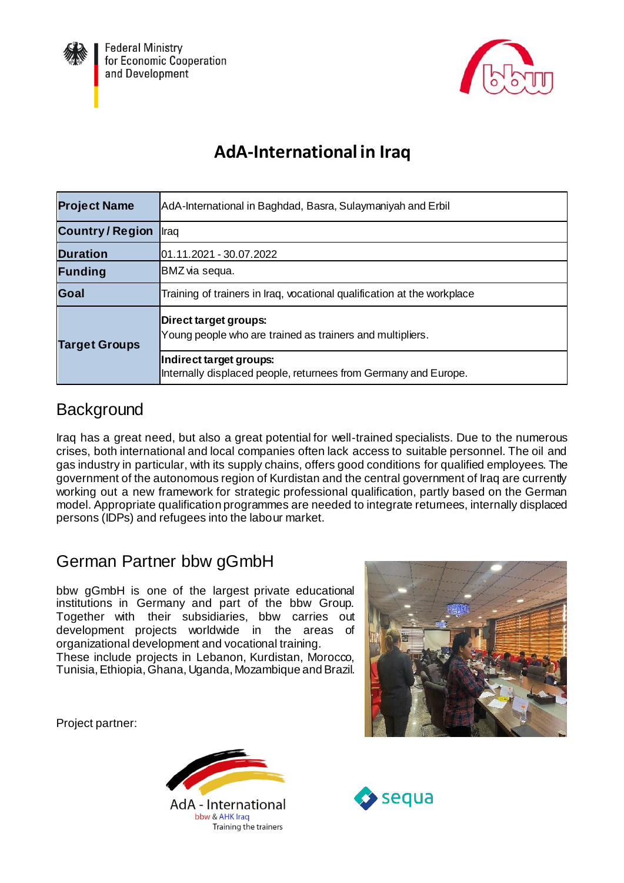



# **AdA-International in Iraq**

| <b>Project Name</b>   | AdA-International in Baghdad, Basra, Sulaymaniyah and Erbil                                |  |
|-----------------------|--------------------------------------------------------------------------------------------|--|
| <b>Country/Region</b> | Iraq                                                                                       |  |
| <b>Duration</b>       | 01.11.2021 - 30.07.2022                                                                    |  |
| Funding               | BMZ via sequa.                                                                             |  |
| Goal                  | Training of trainers in Iraq, vocational qualification at the workplace                    |  |
| <b>Target Groups</b>  | Direct target groups:<br>Young people who are trained as trainers and multipliers.         |  |
|                       | Indirect target groups:<br>Internally displaced people, returnees from Germany and Europe. |  |

### **Background**

Iraq has a great need, but also a great potential for well-trained specialists. Due to the numerous crises, both international and local companies often lack access to suitable personnel. The oil and gas industry in particular, with its supply chains, offers good conditions for qualified employees. The government of the autonomous region of Kurdistan and the central government of Iraq are currently working out a new framework for strategic professional qualification, partly based on the German model. Appropriate qualification programmes are needed to integrate returnees, internally displaced persons (IDPs) and refugees into the labour market.

## German Partner bbw gGmbH

bbw gGmbH is one of the largest private educational institutions in Germany and part of the bbw Group. Together with their subsidiaries, bbw carries out development projects worldwide in the areas of organizational development and vocational training. These include projects in Lebanon, Kurdistan, Morocco, Tunisia, Ethiopia, Ghana, Uganda, Mozambique and Brazil.

Project partner: